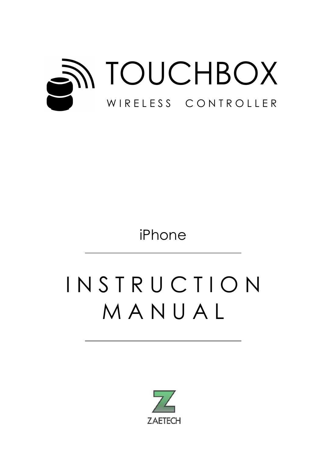

iPhone

# I N S T R U C T I O N M A N U A L

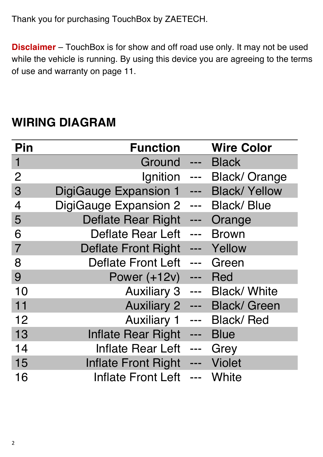Thank you for purchasing TouchBox by ZAETECH.

**Disclaimer** – TouchBox is for show and off road use only. It may not be used while the vehicle is running. By using this device you are agreeing to the terms of use and warranty on page 11.

| Pin            | <b>Function</b>              |               | <b>Wire Color</b>    |
|----------------|------------------------------|---------------|----------------------|
| $\mathbf 1$    | Ground                       | $\frac{1}{2}$ | Black                |
| $\overline{2}$ | Ignition                     | ---           | <b>Black/Orange</b>  |
| 3              | <b>DigiGauge Expansion 1</b> | ---           | <b>Black/ Yellow</b> |
| $\overline{4}$ | <b>DigiGauge Expansion 2</b> | ---           | <b>Black/Blue</b>    |
| 5              | <b>Deflate Rear Right</b>    |               | Orange               |
| 6              | <b>Deflate Rear Left</b>     | ---           | <b>Brown</b>         |
| $\overline{7}$ | <b>Deflate Front Right</b>   | ---           | Yellow               |
| 8              | <b>Deflate Front Left</b>    | ---           | Green                |
| 9              | <b>Power (+12v)</b>          | $\frac{1}{2}$ | <b>Red</b>           |
| 10             | <b>Auxiliary 3</b>           | ---           | <b>Black/ White</b>  |
| 11             | <b>Auxiliary 2</b>           | ---           | <b>Black/ Green</b>  |
| 12             | <b>Auxiliary 1</b>           |               | <b>Black/Red</b>     |
| 13             | <b>Inflate Rear Right</b>    | ---           | <b>Blue</b>          |
| 14             | <b>Inflate Rear Left</b>     | $\frac{1}{2}$ | Grey                 |
| 15             | <b>Inflate Front Right</b>   |               | <b>Violet</b>        |
| 16             | <b>Inflate Front Left</b>    | ---           | <b>White</b>         |

# **WIRING DIAGRAM**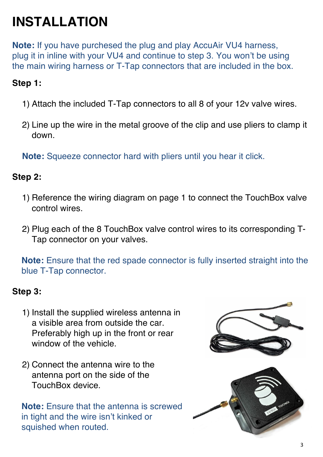# **INSTALLATION**

**Note:** If you have purchesed the plug and play AccuAir VU4 harness, plug it in inline with your VU4 and continue to step 3. You won't be using the main wiring harness or T-Tap connectors that are included in the box.

#### **Step 1:**

- 1) Attach the included T-Tap connectors to all 8 of your 12v valve wires.
- 2) Line up the wire in the metal groove of the clip and use pliers to clamp it down.

**Note:** Squeeze connector hard with pliers until you hear it click.

#### **Step 2:**

- 1) Reference the wiring diagram on page 1 to connect the TouchBox valve control wires.
- 2) Plug each of the 8 TouchBox valve control wires to its corresponding T-Tap connector on your valves.

**Note:** Ensure that the red spade connector is fully inserted straight into the blue T-Tap connector.

#### **Step 3:**

- 1) Install the supplied wireless antenna in a visible area from outside the car. Preferably high up in the front or rear window of the vehicle.
- 2) Connect the antenna wire to the antenna port on the side of the TouchBox device.

**Note:** Ensure that the antenna is screwed in tight and the wire isn't kinked or squished when routed.

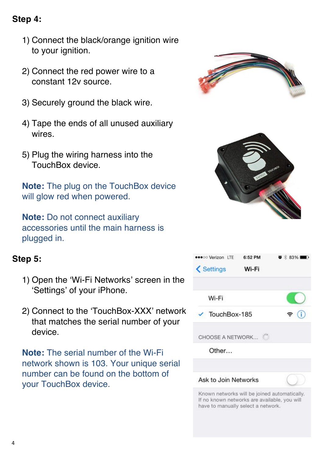### **Step 4:**

- 1) Connect the black/orange ignition wire to your ignition.
- 2) Connect the red power wire to a constant 12v source.
- 3) Securely ground the black wire.
- 4) Tape the ends of all unused auxiliary wires.
- 5) Plug the wiring harness into the TouchBox device.

**Note:** The plug on the TouchBox device will glow red when powered.

**Note:** Do not connect auxiliary accessories until the main harness is plugged in.

### **Step 5:**

- 1) Open the 'Wi-Fi Networks' screen in the 'Settings' of your iPhone.
- 2) Connect to the 'TouchBox-XXX' network that matches the serial number of your device.

**Note:** The serial number of the Wi-Fi network shown is 103. Your unique serial number can be found on the bottom of your TouchBox device.



Known networks will be joined automatically. If no known networks are available, you will have to manually select a network.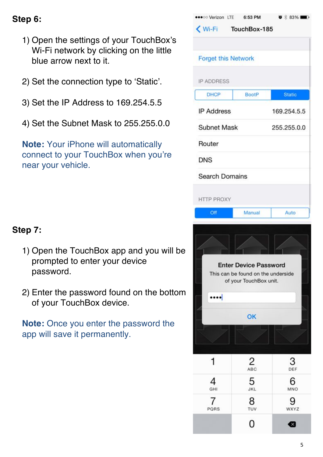### **Step 6:**

- 1) Open the settings of your TouchBox's Wi-Fi network by clicking on the little blue arrow next to it.
- 2) Set the connection type to 'Static'.
- 3) Set the IP Address to 169.254.5.5
- 4) Set the Subnet Mask to 255.255.0.0

**Note:** Your iPhone will automatically connect to your TouchBox when you're near your vehicle.

| •• o Verizon LTE 6:53 PM   |                                    | $\bullet$ * 83% |  |  |
|----------------------------|------------------------------------|-----------------|--|--|
|                            | Wi-Fi TouchBox-185                 |                 |  |  |
|                            |                                    |                 |  |  |
| <b>Forget this Network</b> |                                    |                 |  |  |
|                            |                                    |                 |  |  |
| <b>IP ADDRESS</b>          |                                    |                 |  |  |
| <b>DHCP</b>                | <b>BootP</b>                       | <b>Static</b>   |  |  |
| <b>IP Address</b>          |                                    | 169.254.5.5     |  |  |
| <b>Subnet Mask</b>         | 255.255.0.0                        |                 |  |  |
| Router                     |                                    |                 |  |  |
| <b>DNS</b>                 |                                    |                 |  |  |
| <b>Search Domains</b>      |                                    |                 |  |  |
|                            |                                    |                 |  |  |
| <b>HTTP PROXY</b>          |                                    |                 |  |  |
| Off                        | Manual                             | Auto            |  |  |
|                            |                                    |                 |  |  |
|                            |                                    |                 |  |  |
|                            |                                    |                 |  |  |
|                            | <b>Enter Device Password</b>       |                 |  |  |
|                            | This can be found on the underside |                 |  |  |
|                            | of your TouchBox unit.             |                 |  |  |
| $\cdots$                   |                                    |                 |  |  |
|                            | OK                                 |                 |  |  |
|                            |                                    |                 |  |  |
|                            |                                    |                 |  |  |
|                            |                                    | 3               |  |  |
|                            | 2<br>ABC                           | DEF             |  |  |
| 4<br>GHI                   | 5<br><b>JKL</b>                    | 6<br>MNO        |  |  |
| 7                          | 8                                  |                 |  |  |
| PORS                       | TUV<br>ი                           | WXYZ            |  |  |

### **Step 7:**

- 1) Open the TouchBox app and you will be prompted to enter your device password.
- 2) Enter the password found on the bottom of your TouchBox device.

**Note:** Once you enter the password the app will save it permanently.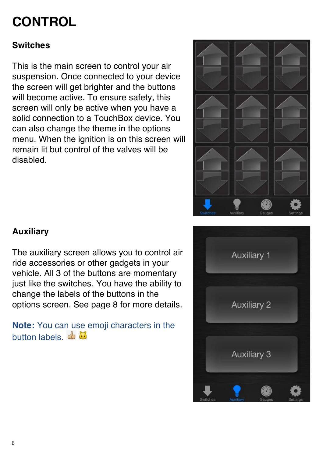# **CONTROL**

### **Switches**

This is the main screen to control your air suspension. Once connected to your device the screen will get brighter and the buttons will become active. To ensure safety, this screen will only be active when you have a solid connection to a TouchBox device. You can also change the theme in the options menu. When the ignition is on this screen will remain lit but control of the valves will be disabled.



# **Auxiliary**

The auxiliary screen allows you to control air ride accessories or other gadgets in your vehicle. All 3 of the buttons are momentary just like the switches. You have the ability to change the labels of the buttons in the options screen. See page 8 for more details.

**Note:** You can use emoji characters in the button labels. de

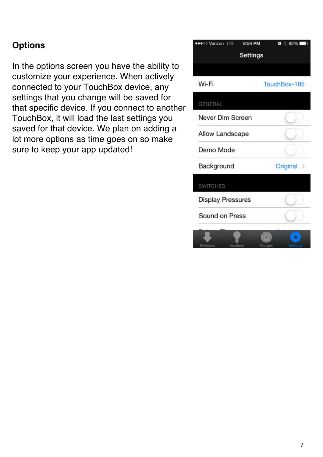### **Options**

In the options screen you have the ability to customize your experience. When actively connected to your TouchBox device, any settings that you change will be saved for that specific device. If you connect to another TouchBox, it will load the last settings you saved for that device. We plan on adding a lot more options as time goes on so make sure to keep your app updated!

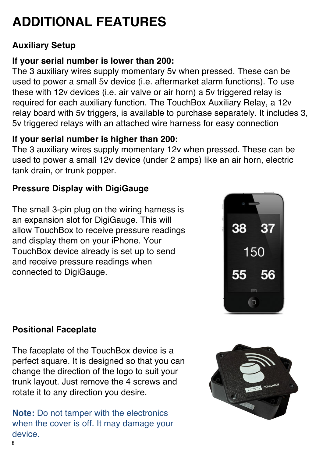# **ADDITIONAL FEATURES**

## **Auxiliary Setup**

# **If your serial number is lower than 200:**

The 3 auxiliary wires supply momentary 5v when pressed. These can be used to power a small 5v device (i.e. aftermarket alarm functions). To use these with 12v devices (i.e. air valve or air horn) a 5v triggered relay is required for each auxiliary function. The TouchBox Auxiliary Relay, a 12v relay board with 5v triggers, is available to purchase separately. It includes 3, 5v triggered relays with an attached wire harness for easy connection

# **If your serial number is higher than 200:**

The 3 auxiliary wires supply momentary 12v when pressed. These can be used to power a small 12v device (under 2 amps) like an air horn, electric tank drain, or trunk popper.

# **Pressure Display with DigiGauge**

The small 3-pin plug on the wiring harness is an expansion slot for DigiGauge. This will allow TouchBox to receive pressure readings and display them on your iPhone. Your TouchBox device already is set up to send and receive pressure readings when connected to DigiGauge.



## **Positional Faceplate**

The faceplate of the TouchBox device is a perfect square. It is designed so that you can change the direction of the logo to suit your trunk layout. Just remove the 4 screws and rotate it to any direction you desire.

**Note:** Do not tamper with the electronics when the cover is off. It may damage your device.

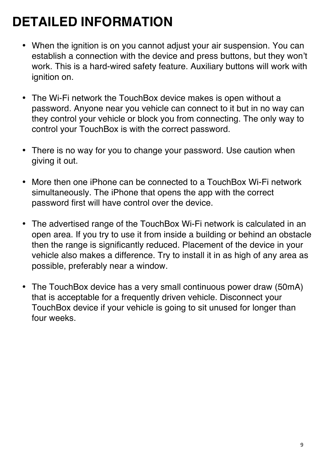# **DETAILED INFORMATION**

- When the ignition is on you cannot adjust your air suspension. You can establish a connection with the device and press buttons, but they won't work. This is a hard-wired safety feature. Auxiliary buttons will work with ignition on.
- The Wi-Fi network the TouchBox device makes is open without a password. Anyone near you vehicle can connect to it but in no way can they control your vehicle or block you from connecting. The only way to control your TouchBox is with the correct password.
- There is no way for you to change your password. Use caution when giving it out.
- More then one iPhone can be connected to a TouchBox Wi-Fi network simultaneously. The iPhone that opens the app with the correct password first will have control over the device.
- The advertised range of the TouchBox Wi-Fi network is calculated in an open area. If you try to use it from inside a building or behind an obstacle then the range is significantly reduced. Placement of the device in your vehicle also makes a difference. Try to install it in as high of any area as possible, preferably near a window.
- The TouchBox device has a very small continuous power draw (50mA) that is acceptable for a frequently driven vehicle. Disconnect your TouchBox device if your vehicle is going to sit unused for longer than four weeks.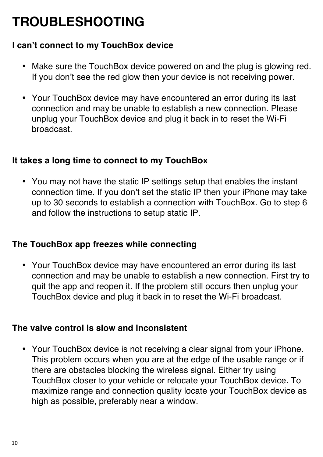# **TROUBLESHOOTING**

### **I can't connect to my TouchBox device**

- Make sure the TouchBox device powered on and the plug is glowing red. If you don't see the red glow then your device is not receiving power.
- Your TouchBox device may have encountered an error during its last connection and may be unable to establish a new connection. Please unplug your TouchBox device and plug it back in to reset the Wi-Fi broadcast.

#### **It takes a long time to connect to my TouchBox**

• You may not have the static IP settings setup that enables the instant connection time. If you don't set the static IP then your iPhone may take up to 30 seconds to establish a connection with TouchBox. Go to step 6 and follow the instructions to setup static IP.

### **The TouchBox app freezes while connecting**

• Your TouchBox device may have encountered an error during its last connection and may be unable to establish a new connection. First try to quit the app and reopen it. If the problem still occurs then unplug your TouchBox device and plug it back in to reset the Wi-Fi broadcast.

#### **The valve control is slow and inconsistent**

• Your TouchBox device is not receiving a clear signal from your iPhone. This problem occurs when you are at the edge of the usable range or if there are obstacles blocking the wireless signal. Either try using TouchBox closer to your vehicle or relocate your TouchBox device. To maximize range and connection quality locate your TouchBox device as high as possible, preferably near a window.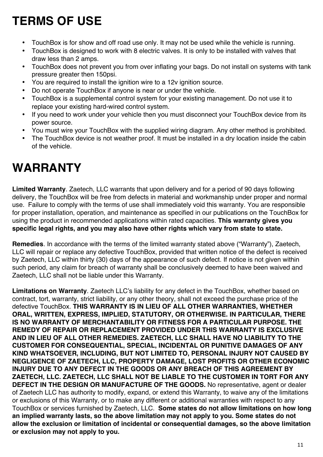# **TERMS OF USE**

- TouchBox is for show and off road use only. It may not be used while the vehicle is running.
- TouchBox is designed to work with 8 electric valves. It is only to be installed with valves that draw less than 2 amps.
- TouchBox does not prevent you from over inflating your bags. Do not install on systems with tank pressure greater then 150psi.
- You are required to install the ignition wire to a 12v ignition source.
- Do not operate TouchBox if anyone is near or under the vehicle.
- TouchBox is a supplemental control system for your existing management. Do not use it to replace your existing hard-wired control system.
- If you need to work under your vehicle then you must disconnect your TouchBox device from its power source.
- You must wire your TouchBox with the supplied wiring diagram. Any other method is prohibited.
- The TouchBox device is not weather proof. It must be installed in a dry location inside the cabin of the vehicle.

# **WARRANTY**

**Limited Warranty**. Zaetech, LLC warrants that upon delivery and for a period of 90 days following delivery, the TouchBox will be free from defects in material and workmanship under proper and normal use. Failure to comply with the terms of use shall immediately void this warranty. You are responsible for proper installation, operation, and maintenance as specified in our publications on the TouchBox for using the product in recommended applications within rated capacities. **This warranty gives you specific legal rights, and you may also have other rights which vary from state to state.**

**Remedies**. In accordance with the terms of the limited warranty stated above ("Warranty"), Zaetech, LLC will repair or replace any defective TouchBox, provided that written notice of the defect is received by Zaetech, LLC within thirty (30) days of the appearance of such defect. If notice is not given within such period, any claim for breach of warranty shall be conclusively deemed to have been waived and Zaetech, LLC shall not be liable under this Warranty.

**Limitations on Warranty**. Zaetech LLC's liability for any defect in the TouchBox, whether based on contract, tort, warranty, strict liability, or any other theory, shall not exceed the purchase price of the defective TouchBox. **THIS WARRANTY IS IN LIEU OF ALL OTHER WARRANTIES, WHETHER ORAL, WRITTEN, EXPRESS, IMPLIED, STATUTORY, OR OTHERWISE. IN PARTICULAR, THERE IS NO WARRANTY OF MERCHANTABILITY OR FITNESS FOR A PARTICULAR PURPOSE. THE REMEDY OF REPAIR OR REPLACEMENT PROVIDED UNDER THIS WARRANTY IS EXCLUSIVE AND IN LIEU OF ALL OTHER REMEDIES. ZAETECH, LLC SHALL HAVE NO LIABILITY TO THE CUSTOMER FOR CONSEQUENTIAL, SPECIAL, INCIDENTAL OR PUNITIVE DAMAGES OF ANY KIND WHATSOEVER, INCLUDING, BUT NOT LIMITED TO, PERSONAL INJURY NOT CAUSED BY NEGLIGENCE OF ZAETECH, LLC, PROPERTY DAMAGE, LOST PROFITS OR OTHER ECONOMIC INJURY DUE TO ANY DEFECT IN THE GOODS OR ANY BREACH OF THIS AGREEMENT BY ZAETECH, LLC. ZAETECH, LLC SHALL NOT BE LIABLE TO THE CUSTOMER IN TORT FOR ANY DEFECT IN THE DESIGN OR MANUFACTURE OF THE GOODS.** No representative, agent or dealer of Zaetech LLC has authority to modify, expand, or extend this Warranty, to waive any of the limitations or exclusions of this Warranty, or to make any different or additional warranties with respect to any TouchBox or services furnished by Zaetech, LLC. **Some states do not allow limitations on how long an implied warranty lasts, so the above limitation may not apply to you. Some states do not allow the exclusion or limitation of incidental or consequential damages, so the above limitation or exclusion may not apply to you.**